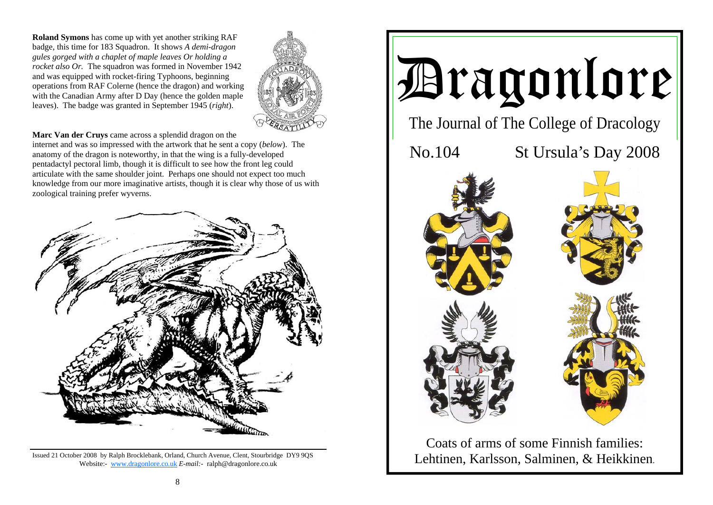**Roland Symons** has come up with yet another striking RAF badge, this time for 183 Squadron. It shows *A demi-dragon gules gorged with a chaplet of maple leaves Or holding a rocket also Or.* The squadron was formed in November 1942 and was equipped with rocket-firing Typhoons, beginning operations from RAF Colerne (hence the dragon) and working with the Canadian Army after D Day (hence the golden maple leaves). The badge was granted in September 1945 (*right*).



**Marc Van der Cruys** came across a splendid dragon on the

internet and was so impressed with the artwork that he sent a copy (*below*). The anatomy of the dragon is noteworthy, in that the wing is a fully-developed pentadactyl pectoral limb, though it is difficult to see how the front leg could articulate with the same shoulder joint. Perhaps one should not expect too much knowledge from our more imaginative artists, though it is clear why those of us with zoological training prefer wyverns.



Issued 21 October 2008 by Ralph Brocklebank, Orland, Church Avenue, Clent, Stourbridge DY9 9QS Website:- www.dragonlore.co.uk *E-mail:-* ralph@dragonlore.co.uk



Coats of arms of some Finnish families: Lehtinen, Karlsson, Salminen, & Heikkinen.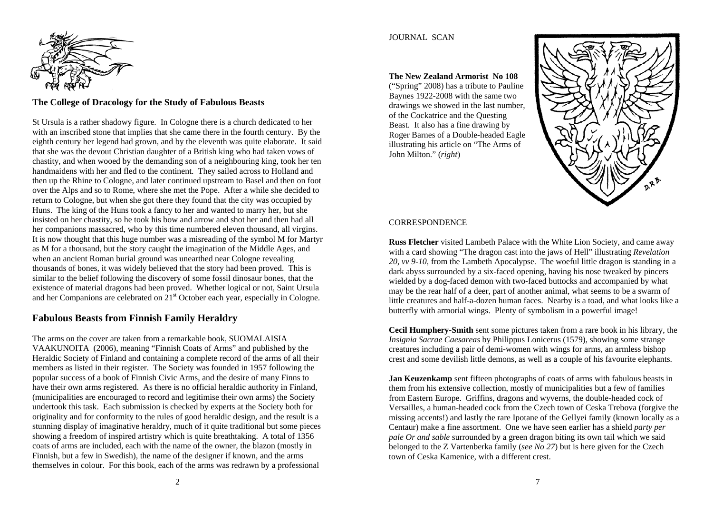

# **The College of Dracology for the Study of Fabulous Beasts**

St Ursula is a rather shadowy figure. In Cologne there is a church dedicated to her with an inscribed stone that implies that she came there in the fourth century. By the eighth century her legend had grown, and by the eleventh was quite elaborate. It said that she was the devout Christian daughter of a British king who had taken vows of chastity, and when wooed by the demanding son of a neighbouring king, took her ten handmaidens with her and fled to the continent. They sailed across to Holland and then up the Rhine to Cologne, and later continued upstream to Basel and then on foot over the Alps and so to Rome, where she met the Pope. After a while she decided to return to Cologne, but when she got there they found that the city was occupied by Huns. The king of the Huns took a fancy to her and wanted to marry her, but she insisted on her chastity, so he took his bow and arrow and shot her and then had all her companions massacred, who by this time numbered eleven thousand, all virgins. It is now thought that this huge number was a misreading of the symbol M for Martyr as M for a thousand, but the story caught the imagination of the Middle Ages, and when an ancient Roman burial ground was unearthed near Cologne revealing thousands of bones, it was widely believed that the story had been proved. This is similar to the belief following the discovery of some fossil dinosaur bones, that the existence of material dragons had been proved. Whether logical or not, Saint Ursula and her Companions are celebrated on  $21<sup>st</sup>$  October each year, especially in Cologne.

## **Fabulous Beasts from Finnish Family Heraldry**

The arms on the cover are taken from a remarkable book, SUOMALAISIA VAAKUNOITA (2006), meaning "Finnish Coats of Arms" and published by the Heraldic Society of Finland and containing a complete record of the arms of all their members as listed in their register. The Society was founded in 1957 following the popular success of a book of Finnish Civic Arms, and the desire of many Finns to have their own arms registered. As there is no official heraldic authority in Finland, (municipalities are encouraged to record and legitimise their own arms) the Society undertook this task. Each submission is checked by experts at the Society both for originality and for conformity to the rules of good heraldic design, and the result is a stunning display of imaginative heraldry, much of it quite traditional but some pieces showing a freedom of inspired artistry which is quite breathtaking. A total of 1356 coats of arms are included, each with the name of the owner, the blazon (mostly in Finnish, but a few in Swedish), the name of the designer if known, and the arms themselves in colour. For this book, each of the arms was redrawn by a professional

### JOURNAL SCAN

**The New Zealand Armorist No 108** ("Spring" 2008) has a tribute to Pauline Baynes 1922-2008 with the same two drawings we showed in the last number, of the Cockatrice and the Questing Beast. It also has a fine drawing by Roger Barnes of a Double-headed Eagle illustrating his article on "The Arms of John Milton." (*right*)



#### CORRESPONDENCE

**Russ Fletcher** visited Lambeth Palace with the White Lion Society, and came away with a card showing "The dragon cast into the jaws of Hell" illustrating *Revelation 20, vv 9-10,* from the Lambeth Apocalypse. The woeful little dragon is standing in a dark abyss surrounded by a six-faced opening, having his nose tweaked by pincers wielded by a dog-faced demon with two-faced buttocks and accompanied by what may be the rear half of a deer, part of another animal, what seems to be a swarm of little creatures and half-a-dozen human faces. Nearby is a toad, and what looks like a butterfly with armorial wings. Plenty of symbolism in a powerful image!

**Cecil Humphery-Smith** sent some pictures taken from a rare book in his library, the *Insignia Sacrae Caesareas* by Philippus Lonicerus (1579), showing some strange creatures including a pair of demi-women with wings for arms, an armless bishop crest and some devilish little demons, as well as a couple of his favourite elephants.

**Jan Keuzenkamp** sent fifteen photographs of coats of arms with fabulous beasts in them from his extensive collection, mostly of municipalities but a few of families from Eastern Europe. Griffins, dragons and wyverns, the double-headed cock of Versailles, a human-headed cock from the Czech town of Ceska Trebova (forgive the missing accents!) and lastly the rare Ipotane of the Gellyei family (known locally as a Centaur) make a fine assortment. One we have seen earlier has a shield *party per pale Or and sable* surrounded by a green dragon biting its own tail which we said belonged to the Z Vartenberka family (*see No 27*) but is here given for the Czech town of Ceska Kamenice, with a different crest.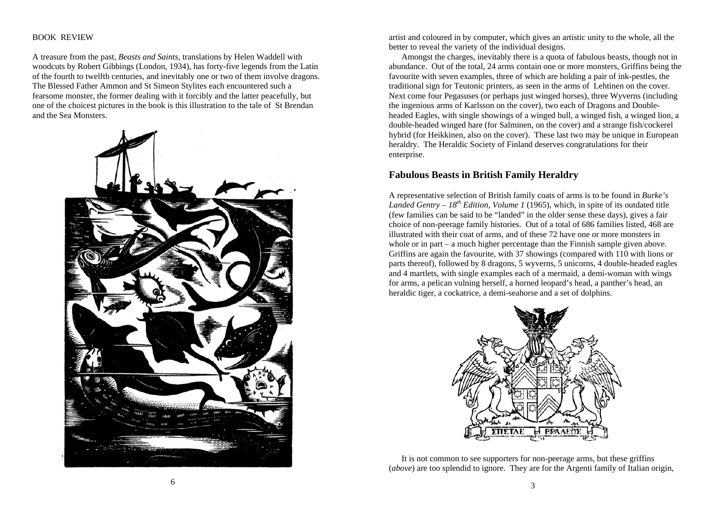### BOOK REVIEW

A treasure from the past, *Beasts and Saints,* translations by Helen Waddell with woodcuts by Robert Gibbings (London, 1934), has forty-five legends from the Latin of the fourth to twelfth centuries, and inevitably one or two of them involve dragons. The Blessed Father Ammon and St Simeon Stylites each encountered such a fearsome monster, the former dealing with it forcibly and the latter peacefully, but one of the choicest pictures in the book is this illustration to the tale of St Brendan and the Sea Monsters.



artist and coloured in by computer, which gives an artistic unity to the whole, all the better to reveal the variety of the individual designs.

 Amongst the charges, inevitably there is a quota of fabulous beasts, though not in abundance. Out of the total, 24 arms contain one or more monsters, Griffins being the favourite with seven examples, three of which are holding a pair of ink-pestles, the traditional sign for Teutonic printers, as seen in the arms of Lehtinen on the cover. Next come four Pegasuses (or perhaps just winged horses), three Wyverns (including the ingenious arms of Karlsson on the cover), two each of Dragons and Doubleheaded Eagles, with single showings of a winged bull, a winged fish, a winged lion, a double-headed winged hare (for Salminen, on the cover) and a strange fish/cockerel hybrid (for Heikkinen, also on the cover). These last two may be unique in European heraldry. The Heraldic Society of Finland deserves congratulations for their enterprise.

## **Fabulous Beasts in British Family Heraldry**

A representative selection of British family coats of arms is to be found in *Burke's Landed Gentry – 18th Edition, Volume 1* (1965), which, in spite of its outdated title (few families can be said to be "landed" in the older sense these days), gives a fair choice of non-peerage family histories. Out of a total of 686 families listed, 468 are illustrated with their coat of arms, and of these 72 have one or more monsters in whole or in part – a much higher percentage than the Finnish sample given above. Griffins are again the favourite, with 37 showings (compared with 110 with lions or parts thereof), followed by 8 dragons, 5 wyverns, 5 unicorns, 4 double-headed eagles and 4 martlets, with single examples each of a mermaid, a demi-woman with wings for arms, a pelican vulning herself, a horned leopard's head, a panther's head, an heraldic tiger, a cockatrice, a demi-seahorse and a set of dolphins.



 It is not common to see supporters for non-peerage arms, but these griffins (*above*) are too splendid to ignore. They are for the Argenti family of Italian origin,